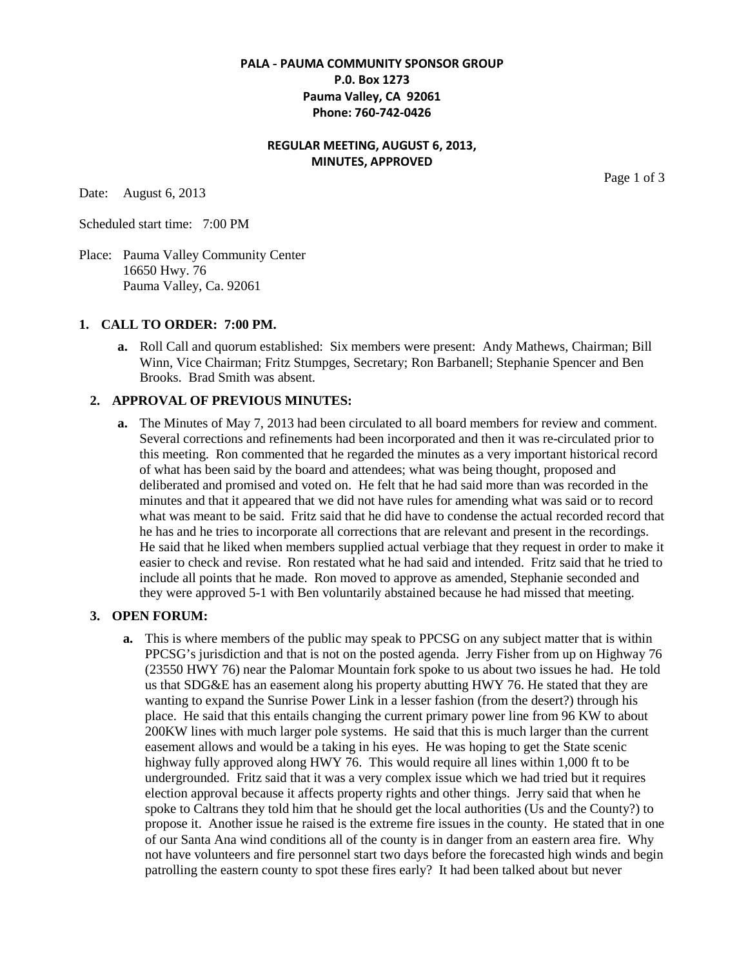## **PALA - PAUMA COMMUNITY SPONSOR GROUP P.0. Box 1273 Pauma Valley, CA 92061 Phone: 760-742-0426**

# **REGULAR MEETING, AUGUST 6, 2013, MINUTES, APPROVED**

Date: August 6, 2013

Scheduled start time: 7:00 PM

Place: Pauma Valley Community Center 16650 Hwy. 76 Pauma Valley, Ca. 92061

#### **1. CALL TO ORDER: 7:00 PM.**

**a.** Roll Call and quorum established: Six members were present: Andy Mathews, Chairman; Bill Winn, Vice Chairman; Fritz Stumpges, Secretary; Ron Barbanell; Stephanie Spencer and Ben Brooks. Brad Smith was absent.

### **2. APPROVAL OF PREVIOUS MINUTES:**

**a.** The Minutes of May 7, 2013 had been circulated to all board members for review and comment. Several corrections and refinements had been incorporated and then it was re-circulated prior to this meeting. Ron commented that he regarded the minutes as a very important historical record of what has been said by the board and attendees; what was being thought, proposed and deliberated and promised and voted on. He felt that he had said more than was recorded in the minutes and that it appeared that we did not have rules for amending what was said or to record what was meant to be said. Fritz said that he did have to condense the actual recorded record that he has and he tries to incorporate all corrections that are relevant and present in the recordings. He said that he liked when members supplied actual verbiage that they request in order to make it easier to check and revise. Ron restated what he had said and intended. Fritz said that he tried to include all points that he made. Ron moved to approve as amended, Stephanie seconded and they were approved 5-1 with Ben voluntarily abstained because he had missed that meeting.

#### **3. OPEN FORUM:**

**a.** This is where members of the public may speak to PPCSG on any subject matter that is within PPCSG's jurisdiction and that is not on the posted agenda. Jerry Fisher from up on Highway 76 (23550 HWY 76) near the Palomar Mountain fork spoke to us about two issues he had. He told us that SDG&E has an easement along his property abutting HWY 76. He stated that they are wanting to expand the Sunrise Power Link in a lesser fashion (from the desert?) through his place. He said that this entails changing the current primary power line from 96 KW to about 200KW lines with much larger pole systems. He said that this is much larger than the current easement allows and would be a taking in his eyes. He was hoping to get the State scenic highway fully approved along HWY 76. This would require all lines within 1,000 ft to be undergrounded. Fritz said that it was a very complex issue which we had tried but it requires election approval because it affects property rights and other things. Jerry said that when he spoke to Caltrans they told him that he should get the local authorities (Us and the County?) to propose it. Another issue he raised is the extreme fire issues in the county. He stated that in one of our Santa Ana wind conditions all of the county is in danger from an eastern area fire. Why not have volunteers and fire personnel start two days before the forecasted high winds and begin patrolling the eastern county to spot these fires early? It had been talked about but never

Page 1 of 3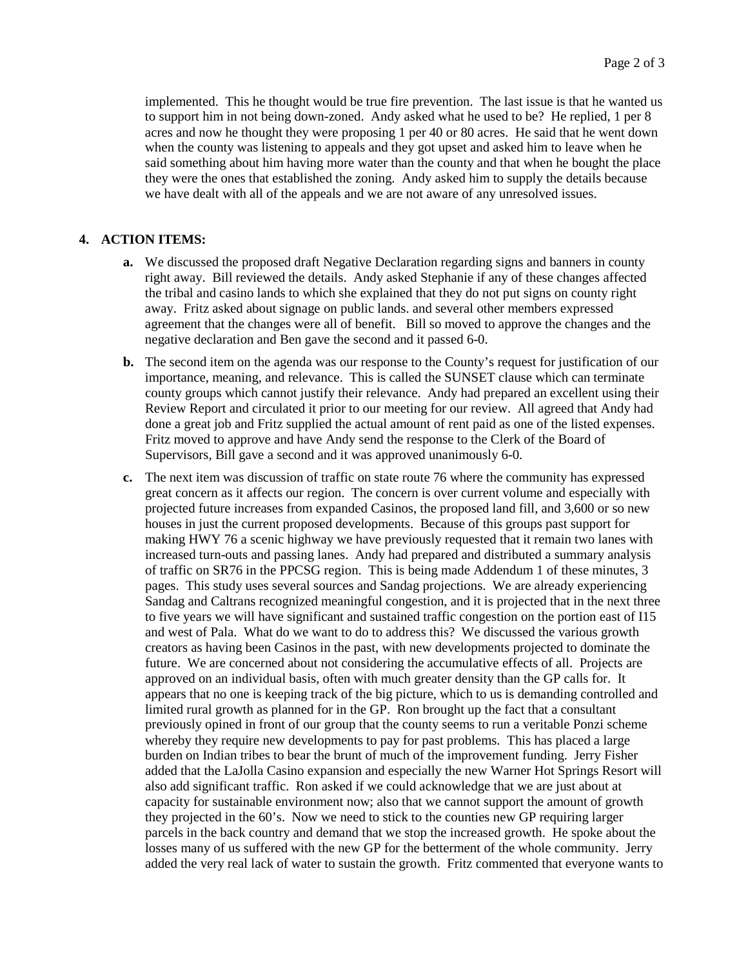implemented. This he thought would be true fire prevention. The last issue is that he wanted us to support him in not being down-zoned. Andy asked what he used to be? He replied, 1 per 8 acres and now he thought they were proposing 1 per 40 or 80 acres. He said that he went down when the county was listening to appeals and they got upset and asked him to leave when he said something about him having more water than the county and that when he bought the place they were the ones that established the zoning. Andy asked him to supply the details because we have dealt with all of the appeals and we are not aware of any unresolved issues.

## **4. ACTION ITEMS:**

- **a.** We discussed the proposed draft Negative Declaration regarding signs and banners in county right away. Bill reviewed the details. Andy asked Stephanie if any of these changes affected the tribal and casino lands to which she explained that they do not put signs on county right away. Fritz asked about signage on public lands. and several other members expressed agreement that the changes were all of benefit. Bill so moved to approve the changes and the negative declaration and Ben gave the second and it passed 6-0.
- **b.** The second item on the agenda was our response to the County's request for justification of our importance, meaning, and relevance. This is called the SUNSET clause which can terminate county groups which cannot justify their relevance. Andy had prepared an excellent using their Review Report and circulated it prior to our meeting for our review. All agreed that Andy had done a great job and Fritz supplied the actual amount of rent paid as one of the listed expenses. Fritz moved to approve and have Andy send the response to the Clerk of the Board of Supervisors, Bill gave a second and it was approved unanimously 6-0.
- **c.** The next item was discussion of traffic on state route 76 where the community has expressed great concern as it affects our region. The concern is over current volume and especially with projected future increases from expanded Casinos, the proposed land fill, and 3,600 or so new houses in just the current proposed developments. Because of this groups past support for making HWY 76 a scenic highway we have previously requested that it remain two lanes with increased turn-outs and passing lanes. Andy had prepared and distributed a summary analysis of traffic on SR76 in the PPCSG region. This is being made Addendum 1 of these minutes, 3 pages. This study uses several sources and Sandag projections. We are already experiencing Sandag and Caltrans recognized meaningful congestion, and it is projected that in the next three to five years we will have significant and sustained traffic congestion on the portion east of I15 and west of Pala. What do we want to do to address this? We discussed the various growth creators as having been Casinos in the past, with new developments projected to dominate the future. We are concerned about not considering the accumulative effects of all. Projects are approved on an individual basis, often with much greater density than the GP calls for. It appears that no one is keeping track of the big picture, which to us is demanding controlled and limited rural growth as planned for in the GP. Ron brought up the fact that a consultant previously opined in front of our group that the county seems to run a veritable Ponzi scheme whereby they require new developments to pay for past problems. This has placed a large burden on Indian tribes to bear the brunt of much of the improvement funding. Jerry Fisher added that the LaJolla Casino expansion and especially the new Warner Hot Springs Resort will also add significant traffic. Ron asked if we could acknowledge that we are just about at capacity for sustainable environment now; also that we cannot support the amount of growth they projected in the 60's. Now we need to stick to the counties new GP requiring larger parcels in the back country and demand that we stop the increased growth. He spoke about the losses many of us suffered with the new GP for the betterment of the whole community. Jerry added the very real lack of water to sustain the growth. Fritz commented that everyone wants to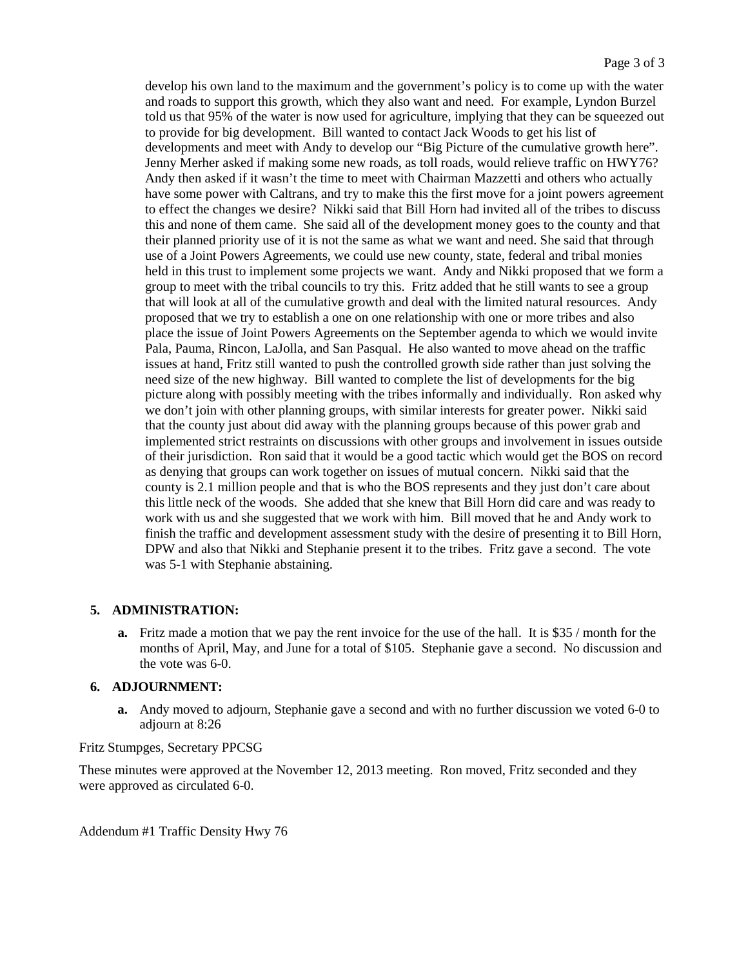develop his own land to the maximum and the government's policy is to come up with the water and roads to support this growth, which they also want and need. For example, Lyndon Burzel told us that 95% of the water is now used for agriculture, implying that they can be squeezed out to provide for big development. Bill wanted to contact Jack Woods to get his list of developments and meet with Andy to develop our "Big Picture of the cumulative growth here". Jenny Merher asked if making some new roads, as toll roads, would relieve traffic on HWY76? Andy then asked if it wasn't the time to meet with Chairman Mazzetti and others who actually have some power with Caltrans, and try to make this the first move for a joint powers agreement to effect the changes we desire? Nikki said that Bill Horn had invited all of the tribes to discuss this and none of them came. She said all of the development money goes to the county and that their planned priority use of it is not the same as what we want and need. She said that through use of a Joint Powers Agreements, we could use new county, state, federal and tribal monies held in this trust to implement some projects we want. Andy and Nikki proposed that we form a group to meet with the tribal councils to try this. Fritz added that he still wants to see a group that will look at all of the cumulative growth and deal with the limited natural resources. Andy proposed that we try to establish a one on one relationship with one or more tribes and also place the issue of Joint Powers Agreements on the September agenda to which we would invite Pala, Pauma, Rincon, LaJolla, and San Pasqual. He also wanted to move ahead on the traffic issues at hand, Fritz still wanted to push the controlled growth side rather than just solving the need size of the new highway. Bill wanted to complete the list of developments for the big picture along with possibly meeting with the tribes informally and individually. Ron asked why we don't join with other planning groups, with similar interests for greater power. Nikki said that the county just about did away with the planning groups because of this power grab and implemented strict restraints on discussions with other groups and involvement in issues outside of their jurisdiction. Ron said that it would be a good tactic which would get the BOS on record as denying that groups can work together on issues of mutual concern. Nikki said that the county is 2.1 million people and that is who the BOS represents and they just don't care about this little neck of the woods. She added that she knew that Bill Horn did care and was ready to work with us and she suggested that we work with him. Bill moved that he and Andy work to finish the traffic and development assessment study with the desire of presenting it to Bill Horn, DPW and also that Nikki and Stephanie present it to the tribes. Fritz gave a second. The vote was 5-1 with Stephanie abstaining.

# **5. ADMINISTRATION:**

**a.** Fritz made a motion that we pay the rent invoice for the use of the hall. It is \$35 / month for the months of April, May, and June for a total of \$105. Stephanie gave a second. No discussion and the vote was 6-0.

# **6. ADJOURNMENT:**

**a.** Andy moved to adjourn, Stephanie gave a second and with no further discussion we voted 6-0 to adjourn at 8:26

# Fritz Stumpges, Secretary PPCSG

These minutes were approved at the November 12, 2013 meeting. Ron moved, Fritz seconded and they were approved as circulated 6-0.

Addendum #1 Traffic Density Hwy 76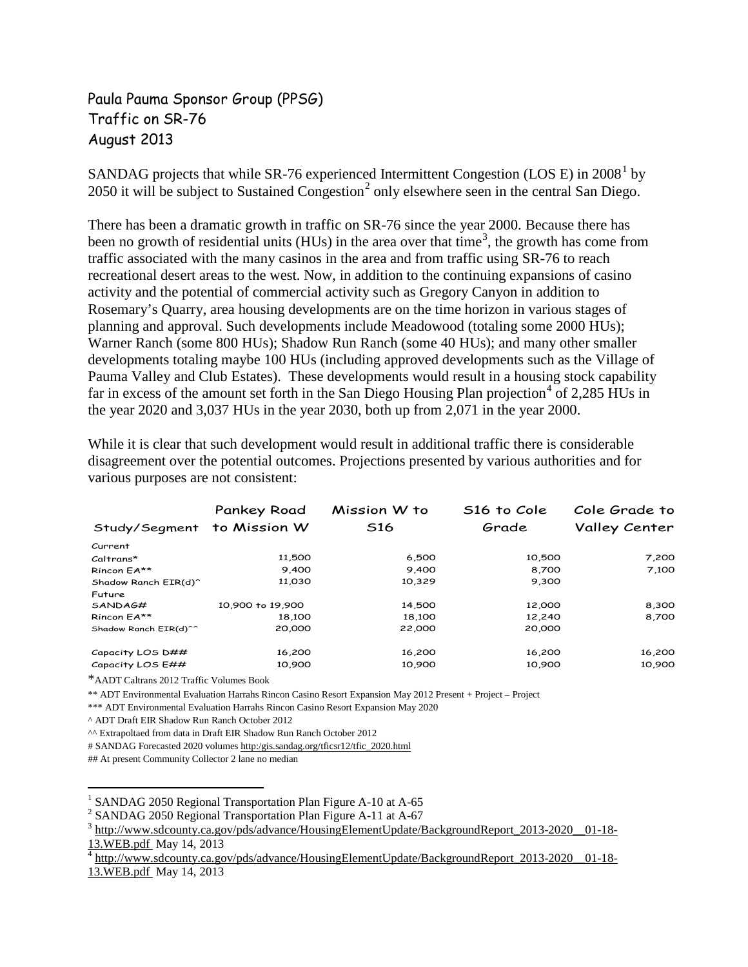# Paula Pauma Sponsor Group (PPSG) Traffic on SR-76 August 2013

SANDAG projects that while SR-76 experienced Intermittent Congestion (LOS E) in 2008[1](#page-3-0) by [2](#page-3-1)050 it will be subject to Sustained Congestion<sup>2</sup> only elsewhere seen in the central San Diego.

There has been a dramatic growth in traffic on SR-76 since the year 2000. Because there has been no growth of residential units (HUs) in the area over that time<sup>[3](#page-3-2)</sup>, the growth has come from traffic associated with the many casinos in the area and from traffic using SR-76 to reach recreational desert areas to the west. Now, in addition to the continuing expansions of casino activity and the potential of commercial activity such as Gregory Canyon in addition to Rosemary's Quarry, area housing developments are on the time horizon in various stages of planning and approval. Such developments include Meadowood (totaling some 2000 HUs); Warner Ranch (some 800 HUs); Shadow Run Ranch (some 40 HUs); and many other smaller developments totaling maybe 100 HUs (including approved developments such as the Village of Pauma Valley and Club Estates). These developments would result in a housing stock capability far in excess of the amount set forth in the San Diego Housing Plan projection<sup>[4](#page-3-3)</sup> of 2,285 HUs in the year 2020 and 3,037 HUs in the year 2030, both up from 2,071 in the year 2000.

While it is clear that such development would result in additional traffic there is considerable disagreement over the potential outcomes. Projections presented by various authorities and for various purposes are not consistent:

| Study/Segment to Mission W       | Pankey Road      | Mission W to<br>S <sub>16</sub> | S16 to Cole<br>Grade | Cole Grade to<br>Valley Center |
|----------------------------------|------------------|---------------------------------|----------------------|--------------------------------|
| Current                          |                  |                                 |                      |                                |
| Caltrans*                        | 11,500           | 6,500                           | 10,500               | 7,200                          |
| Rincon EA**                      | 9,400            | 9,400                           | 8,700                | 7,100                          |
| Shadow Ranch EIR(d) <sup>^</sup> | 11,030           | 10,329                          | 9,300                |                                |
| Future                           |                  |                                 |                      |                                |
| SANDAG#                          | 10,900 to 19,900 | 14,500                          | 12,000               | 8,300                          |
| Rincon EA**                      | 18,100           | 18,100                          | 12,240               | 8,700                          |
| Shadow Ranch EIR(d)^^            | 20,000           | 22,000                          | 20,000               |                                |
| Capacity LOS D##                 | 16,200           | 16,200                          | 16,200               | 16,200                         |
| Capacity LOS E##                 | 10,900           | 10,900                          | 10,900               | 10,900                         |

\*AADT Caltrans 2012 Traffic Volumes Book

\*\* ADT Environmental Evaluation Harrahs Rincon Casino Resort Expansion May 2012 Present + Project – Project

\*\*\* ADT Environmental Evaluation Harrahs Rincon Casino Resort Expansion May 2020

^ ADT Draft EIR Shadow Run Ranch October 2012

^^ Extrapoltaed from data in Draft EIR Shadow Run Ranch October 2012

# SANDAG Forecasted 2020 volume[s http:/gis.sandag.org/tficsr12/tfic\\_2020.html](http://gis.sandag.org/tficsr12/tfic_2020.html)

## At present Community Collector 2 lane no median

 $\overline{a}$ 

<span id="page-3-2"></span>

<span id="page-3-1"></span><span id="page-3-0"></span><sup>&</sup>lt;sup>1</sup> SANDAG 2050 Regional Transportation Plan Figure A-10 at A-65<br>
<sup>2</sup> SANDAG 2050 Regional Transportation Plan Figure A-11 at A-67<br>
<sup>3</sup> http://www.sdcounty.ca.gov/pds/advance/HousingElementUpdate/BackgroundReport\_2013-202

<span id="page-3-3"></span>[http://www.sdcounty.ca.gov/pds/advance/HousingElementUpdate/BackgroundReport\\_2013-2020\\_\\_01-18-](http://www.sdcounty.ca.gov/pds/advance/HousingElementUpdate/BackgroundReport_2013-2020__01-18-13.WEB.pdf) [13.WEB.pdf](http://www.sdcounty.ca.gov/pds/advance/HousingElementUpdate/BackgroundReport_2013-2020__01-18-13.WEB.pdf) May 14, 2013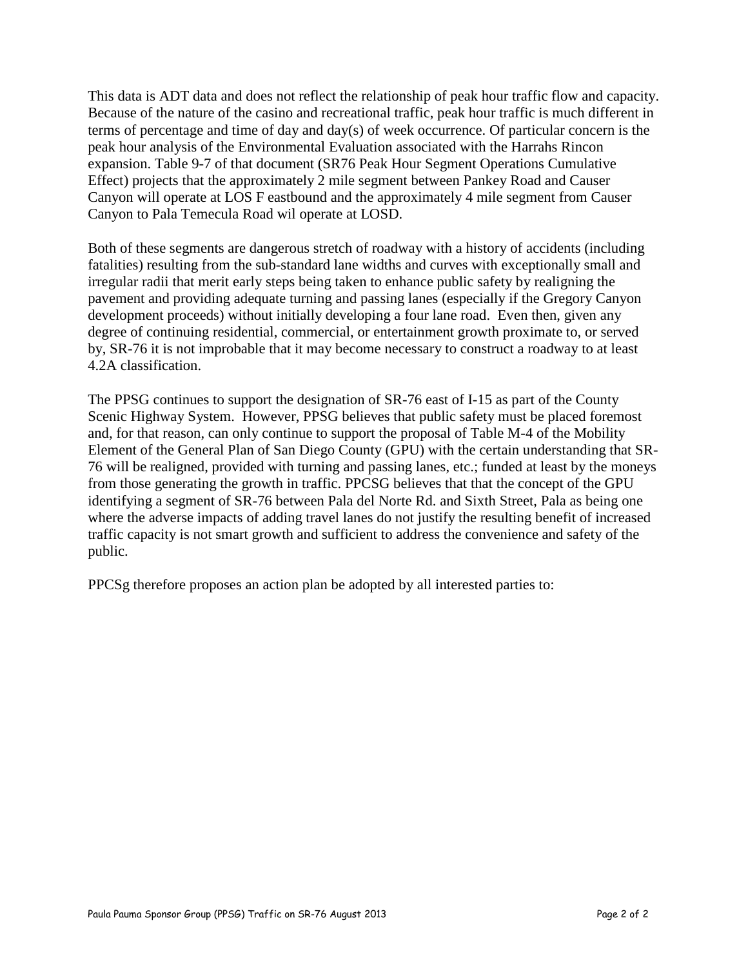This data is ADT data and does not reflect the relationship of peak hour traffic flow and capacity. Because of the nature of the casino and recreational traffic, peak hour traffic is much different in terms of percentage and time of day and day(s) of week occurrence. Of particular concern is the peak hour analysis of the Environmental Evaluation associated with the Harrahs Rincon expansion. Table 9-7 of that document (SR76 Peak Hour Segment Operations Cumulative Effect) projects that the approximately 2 mile segment between Pankey Road and Causer Canyon will operate at LOS F eastbound and the approximately 4 mile segment from Causer Canyon to Pala Temecula Road wil operate at LOSD.

Both of these segments are dangerous stretch of roadway with a history of accidents (including fatalities) resulting from the sub-standard lane widths and curves with exceptionally small and irregular radii that merit early steps being taken to enhance public safety by realigning the pavement and providing adequate turning and passing lanes (especially if the Gregory Canyon development proceeds) without initially developing a four lane road. Even then, given any degree of continuing residential, commercial, or entertainment growth proximate to, or served by, SR-76 it is not improbable that it may become necessary to construct a roadway to at least 4.2A classification.

The PPSG continues to support the designation of SR-76 east of I-15 as part of the County Scenic Highway System. However, PPSG believes that public safety must be placed foremost and, for that reason, can only continue to support the proposal of Table M-4 of the Mobility Element of the General Plan of San Diego County (GPU) with the certain understanding that SR-76 will be realigned, provided with turning and passing lanes, etc.; funded at least by the moneys from those generating the growth in traffic. PPCSG believes that that the concept of the GPU identifying a segment of SR-76 between Pala del Norte Rd. and Sixth Street, Pala as being one where the adverse impacts of adding travel lanes do not justify the resulting benefit of increased traffic capacity is not smart growth and sufficient to address the convenience and safety of the public.

PPCSg therefore proposes an action plan be adopted by all interested parties to: